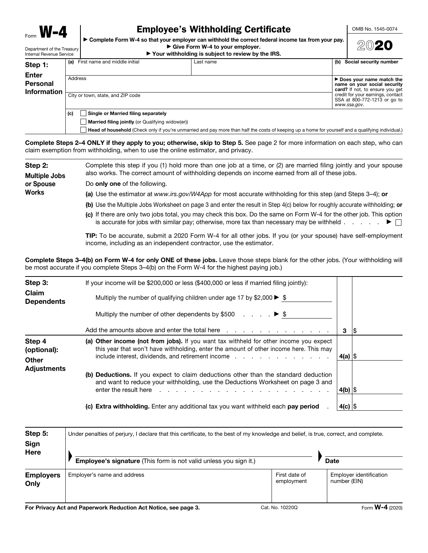## **Employee's Withholding Certificate**

OMB No. 1545-0074

► Complete Form W-4 so that your employer can withhold the correct federal income tax from your pay. Give Form W-4 to your employer.

| 2020 |
|------|
|------|

Denartment of the Treasury Internal Revenue Service

# ▶ Your withholding is subject to review by the IRS.

| Step 1:                                 | (a)     | First name and middle initial                           | Last name | (b) Social security number                                                                    |
|-----------------------------------------|---------|---------------------------------------------------------|-----------|-----------------------------------------------------------------------------------------------|
| <b>Enter</b><br>Personal<br>Information | Address |                                                         |           | ► Does your name match the<br>name on your social security<br>card? If not, to ensure you get |
|                                         |         | City or town, state, and ZIP code                       |           | credit for your earnings, contact<br>SSA at 800-772-1213 or go to<br>www.ssa.gov.             |
|                                         | (c)     | <b>Single or Married filing separately</b>              |           |                                                                                               |
|                                         |         | <b>Married filing jointly</b> (or Qualifying widow(er)) |           |                                                                                               |

Complete Steps 2-4 ONLY if they apply to you; otherwise, skip to Step 5. See page 2 for more information on each step, who can claim exemption from withholding, when to use the online estimator, and privacy.

Step 2: Complete this step if you (1) hold more than one job at a time, or (2) are married filing jointly and your spouse also works. The correct amount of withholding depends on income earned from all of these jobs. **Multiple Jobs** Do only one of the following. or Spouse **Works** (a) Use the estimator at www.irs.gov/W4App for most accurate withholding for this step (and Steps 3-4); or (b) Use the Multiple Jobs Worksheet on page 3 and enter the result in Step 4(c) below for roughly accurate withholding; or (c) If there are only two jobs total, you may check this box. Do the same on Form W-4 for the other job. This option

> TIP: To be accurate, submit a 2020 Form W-4 for all other jobs. If you (or your spouse) have self-employment income, including as an independent contractor, use the estimator.

is accurate for jobs with similar pay; otherwise, more tax than necessary may be withheld  $\ldots$   $\ldots$   $\blacktriangleright$ 

Head of household (Check only if you're unmarried and pay more than half the costs of keeping up a home for yourself and a qualifying individual.)

Complete Steps 3-4(b) on Form W-4 for only ONE of these jobs. Leave those steps blank for the other jobs. (Your withholding will be most accurate if you complete Steps 3–4(b) on the Form W-4 for the highest paying job.)

| Step 3:<br><b>Claim</b><br><b>Dependents</b> | If your income will be \$200,000 or less (\$400,000 or less if married filing jointly):<br>Multiply the number of qualifying children under age 17 by \$2,000 $\blacktriangleright$ \$<br>Multiply the number of other dependents by \$500 $\ldots$ $\ldots$ $\blacktriangleright$ \$                                                                                                                    |           |     |
|----------------------------------------------|----------------------------------------------------------------------------------------------------------------------------------------------------------------------------------------------------------------------------------------------------------------------------------------------------------------------------------------------------------------------------------------------------------|-----------|-----|
|                                              | Add the amounts above and enter the total here response to response the amounts above and enter the total here response to response the amounts of the amounts are all the states of the states of the amounts are all the amo                                                                                                                                                                           | 3         | 1\$ |
| Step 4<br>(optional):<br>Other               | (a) Other income (not from jobs). If you want tax withheld for other income you expect<br>this year that won't have withholding, enter the amount of other income here. This may<br>include interest, dividends, and retirement income entitled and results of the control of the control of the c                                                                                                       | 4(a) ∣\$  |     |
| <b>Adjustments</b>                           | (b) Deductions. If you expect to claim deductions other than the standard deduction<br>and want to reduce your withholding, use the Deductions Worksheet on page 3 and<br>enter the result here result bere result berefore. The result of the result of the result of the result of the result of the result of the result of the result of the result of the result of the result of the result of the | $ 4(b) \$ |     |
|                                              | (c) Extra withholding. Enter any additional tax you want withheld each pay period                                                                                                                                                                                                                                                                                                                        | 4(c) $ $$ |     |

| Step 5:<br>Sign          | Under penalties of perjury, I declare that this certificate, to the best of my knowledge and belief, is true, correct, and complete. |                             |                                         |
|--------------------------|--------------------------------------------------------------------------------------------------------------------------------------|-----------------------------|-----------------------------------------|
| Here                     | Employee's signature (This form is not valid unless you sign it.)                                                                    |                             | <b>Date</b>                             |
| <b>Employers</b><br>Only | Employer's name and address                                                                                                          | First date of<br>employment | Employer identification<br>number (EIN) |

For Privacy Act and Paperwork Reduction Act Notice, see page 3.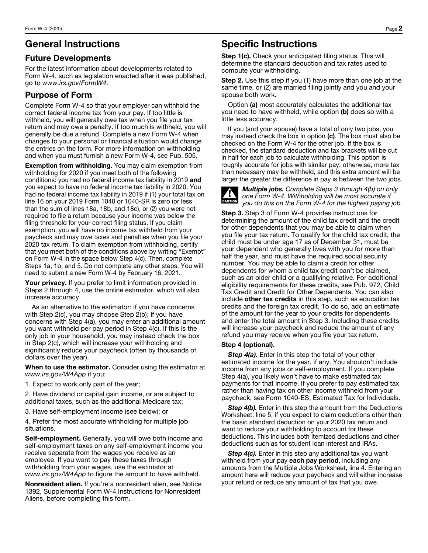## **General Instructions**

#### **Future Developments**

For the latest information about developments related to Form W-4, such as legislation enacted after it was published, go to www.irs.gov/FormW4.

### **Purpose of Form**

Complete Form W-4 so that your employer can withhold the correct federal income tax from your pay. If too little is withheld, you will generally owe tax when you file your tax return and may owe a penalty. If too much is withheld, you will generally be due a refund. Complete a new Form W-4 when changes to your personal or financial situation would change the entries on the form. For more information on withholding and when you must furnish a new Form W-4, see Pub. 505.

**Exemption from withholding.** You may claim exemption from withholding for 2020 if you meet both of the following conditions: you had no federal income tax liability in 2019 and you expect to have no federal income tax liability in 2020. You had no federal income tax liability in 2019 if (1) your total tax on line 16 on your 2019 Form 1040 or 1040-SR is zero (or less than the sum of lines 18a, 18b, and 18c), or  $(2)$  you were not required to file a return because your income was below the filing threshold for your correct filing status. If you claim exemption, you will have no income tax withheld from your paycheck and may owe taxes and penalties when you file your 2020 tax return. To claim exemption from withholding, certify that you meet both of the conditions above by writing "Exempt" on Form W-4 in the space below Step 4(c). Then, complete Steps 1a, 1b, and 5. Do not complete any other steps. You will need to submit a new Form W-4 by February 16, 2021.

Your privacy. If you prefer to limit information provided in Steps 2 through 4, use the online estimator, which will also increase accuracy.

As an alternative to the estimator: if you have concerns with Step 2(c), you may choose Step 2(b); if you have concerns with Step 4(a), you may enter an additional amount you want withheld per pay period in Step 4(c). If this is the only job in your household, you may instead check the box in Step 2(c), which will increase your withholding and significantly reduce your paycheck (often by thousands of dollars over the year).

When to use the estimator. Consider using the estimator at www.irs.gov/W4App if you:

1. Expect to work only part of the year;

2. Have dividend or capital gain income, or are subject to additional taxes, such as the additional Medicare tax;

3. Have self-employment income (see below); or

4. Prefer the most accurate withholding for multiple job situations.

Self-employment. Generally, you will owe both income and self-employment taxes on any self-employment income you receive separate from the wages you receive as an employee. If you want to pay these taxes through withholding from your wages, use the estimator at www.irs.gov/W4App to figure the amount to have withheld.

Nonresident alien. If you're a nonresident alien, see Notice 1392, Supplemental Form W-4 Instructions for Nonresident Aliens, before completing this form.

## **Specific Instructions**

Step 1(c). Check your anticipated filing status. This will determine the standard deduction and tax rates used to compute your withholding.

**Step 2.** Use this step if you (1) have more than one job at the same time, or (2) are married filing jointly and you and your spouse both work.

Option (a) most accurately calculates the additional tax you need to have withheld, while option (b) does so with a little less accuracy.

If you (and your spouse) have a total of only two jobs, you may instead check the box in option (c). The box must also be checked on the Form W-4 for the other job. If the box is checked, the standard deduction and tax brackets will be cut in half for each job to calculate withholding. This option is roughly accurate for jobs with similar pay; otherwise, more tax than necessary may be withheld, and this extra amount will be larger the greater the difference in pay is between the two jobs.



**Multiple jobs.** Complete Steps 3 through 4(b) on only one Form W-4. Withholding will be most accurate if you do this on the Form W-4 for the highest paying job.

**Step 3.** Step 3 of Form W-4 provides instructions for determining the amount of the child tax credit and the credit for other dependents that you may be able to claim when you file your tax return. To qualify for the child tax credit, the child must be under age 17 as of December 31, must be your dependent who generally lives with you for more than half the year, and must have the required social security number. You may be able to claim a credit for other dependents for whom a child tax credit can't be claimed, such as an older child or a qualifying relative. For additional eligibility requirements for these credits, see Pub. 972, Child Tax Credit and Credit for Other Dependents. You can also include other tax credits in this step, such as education tax credits and the foreign tax credit. To do so, add an estimate of the amount for the year to your credits for dependents and enter the total amount in Step 3. Including these credits will increase your paycheck and reduce the amount of any refund you may receive when you file your tax return.

#### Step 4 (optional).

Step 4(a). Enter in this step the total of your other estimated income for the year, if any. You shouldn't include income from any jobs or self-employment. If you complete Step 4(a), you likely won't have to make estimated tax payments for that income. If you prefer to pay estimated tax rather than having tax on other income withheld from your paycheck, see Form 1040-ES, Estimated Tax for Individuals.

Step 4(b). Enter in this step the amount from the Deductions Worksheet, line 5, if you expect to claim deductions other than the basic standard deduction on your 2020 tax return and want to reduce your withholding to account for these deductions. This includes both itemized deductions and other deductions such as for student loan interest and IRAs.

Step 4(c). Enter in this step any additional tax you want withheld from your pay each pay period, including any amounts from the Multiple Jobs Worksheet, line 4. Entering an amount here will reduce your paycheck and will either increase your refund or reduce any amount of tax that you owe.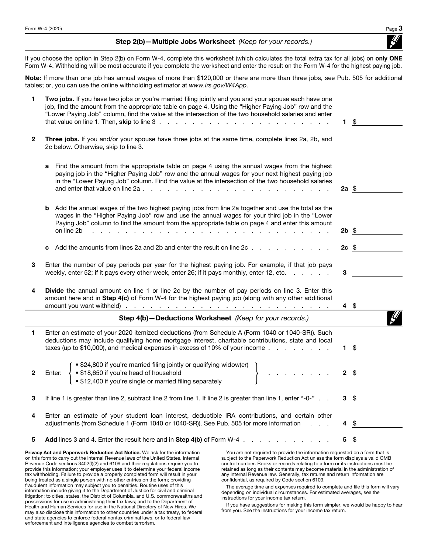Step 2(b) - Multiple Jobs Worksheet (Keep for your records.)

If you choose the option in Step 2(b) on Form W-4, complete this worksheet (which calculates the total extra tax for all jobs) on only ONE Form W-4. Withholding will be most accurate if you complete the worksheet and enter the result on the Form W-4 for the highest paying job.

Note: If more than one job has annual wages of more than \$120,000 or there are more than three jobs, see Pub. 505 for additional tables; or, you can use the online withholding estimator at www.irs.gov/W4App.

| 1            | Two jobs. If you have two jobs or you're married filing jointly and you and your spouse each have one<br>job, find the amount from the appropriate table on page 4. Using the "Higher Paying Job" row and the<br>"Lower Paying Job" column, find the value at the intersection of the two household salaries and enter                                                | 1.          | \$ |
|--------------|-----------------------------------------------------------------------------------------------------------------------------------------------------------------------------------------------------------------------------------------------------------------------------------------------------------------------------------------------------------------------|-------------|----|
| $\mathbf{2}$ | Three jobs. If you and/or your spouse have three jobs at the same time, complete lines 2a, 2b, and<br>2c below. Otherwise, skip to line 3.                                                                                                                                                                                                                            |             |    |
|              | Find the amount from the appropriate table on page 4 using the annual wages from the highest<br>a<br>paying job in the "Higher Paying Job" row and the annual wages for your next highest paying job<br>in the "Lower Paying Job" column. Find the value at the intersection of the two household salaries                                                            | 2a \$       |    |
|              | Add the annual wages of the two highest paying jobs from line 2a together and use the total as the<br>b<br>wages in the "Higher Paying Job" row and use the annual wages for your third job in the "Lower<br>Paying Job" column to find the amount from the appropriate table on page 4 and enter this amount<br>on line 2b<br>and the state of the state of the<br>. | $2b$ \$     |    |
|              | Add the amounts from lines 2a and 2b and enter the result on line 2c<br>c                                                                                                                                                                                                                                                                                             | $2c$ \$     |    |
| 3            | Enter the number of pay periods per year for the highest paying job. For example, if that job pays<br>weekly, enter 52; if it pays every other week, enter 26; if it pays monthly, enter 12, etc.                                                                                                                                                                     | 3           |    |
| 4            | <b>Divide</b> the annual amount on line 1 or line 2c by the number of pay periods on line 3. Enter this<br>amount here and in Step 4(c) of Form W-4 for the highest paying job (along with any other additional                                                                                                                                                       | 4\$         |    |
|              | Step 4(b)-Deductions Worksheet (Keep for your records.)                                                                                                                                                                                                                                                                                                               |             |    |
| 1            | Enter an estimate of your 2020 itemized deductions (from Schedule A (Form 1040 or 1040-SR)). Such<br>deductions may include qualifying home mortgage interest, charitable contributions, state and local<br>taxes (up to \$10,000), and medical expenses in excess of 10% of your income $\ldots$                                                                     | 1.          | \$ |
| $\mathbf{2}$ | • \$24,800 if you're married filing jointly or qualifying widow(er)<br>• \$18,650 if you're head of household<br>Enter:<br>• \$12,400 if you're single or married filing separately                                                                                                                                                                                   | $\mathbf 2$ | \$ |
| 3            | If line 1 is greater than line 2, subtract line 2 from line 1. If line 2 is greater than line 1, enter "-0-".                                                                                                                                                                                                                                                         | 3           | \$ |
| 4            | Enter an estimate of your student loan interest, deductible IRA contributions, and certain other<br>adjustments (from Schedule 1 (Form 1040 or 1040-SR)). See Pub. 505 for more information                                                                                                                                                                           | 4           | \$ |
|              | <b>Add lines 3 and 4. Enter the result here and in Step 4(b) of Form W-4.</b>                                                                                                                                                                                                                                                                                         | 5           | \$ |

Privacy Act and Paperwork Reduction Act Notice. We ask for the information on this form to carry out the Internal Revenue laws of the United States. Internal Revenue Code sections 3402(f)(2) and 6109 and their regulations require you to provide this information; your employer uses it to determine your federal income tax withholding. Failure to provide a properly completed form will result in your being treated as a single person with no other entries on the form; providing fraudulent information may subject you to penalties. Routine uses of this information include giving it to the Department of Justice for civil and criminal litigation; to cities, states, the District of Columbia, and U.S. commonwealths and possessions for use in administering their tax laws; and to the Department of Health and Human Services for use in the National Directory of New Hires. We may also disclose this information to other countries under a tax treaty, to federal and state agencies to enforce federal nontax criminal laws, or to federal law enforcement and intelligence agencies to combat terrorism.

You are not required to provide the information requested on a form that is subject to the Paperwork Reduction Act unless the form displays a valid OMB control number. Books or records relating to a form or its instructions must be retained as long as their contents may become material in the administration of any Internal Revenue law. Generally, tax returns and return information are confidential, as required by Code section 6103.

The average time and expenses required to complete and file this form will vary depending on individual circumstances. For estimated averages, see the instructions for your income tax return.

If you have suggestions for making this form simpler, we would be happy to hear from you. See the instructions for your income tax return.